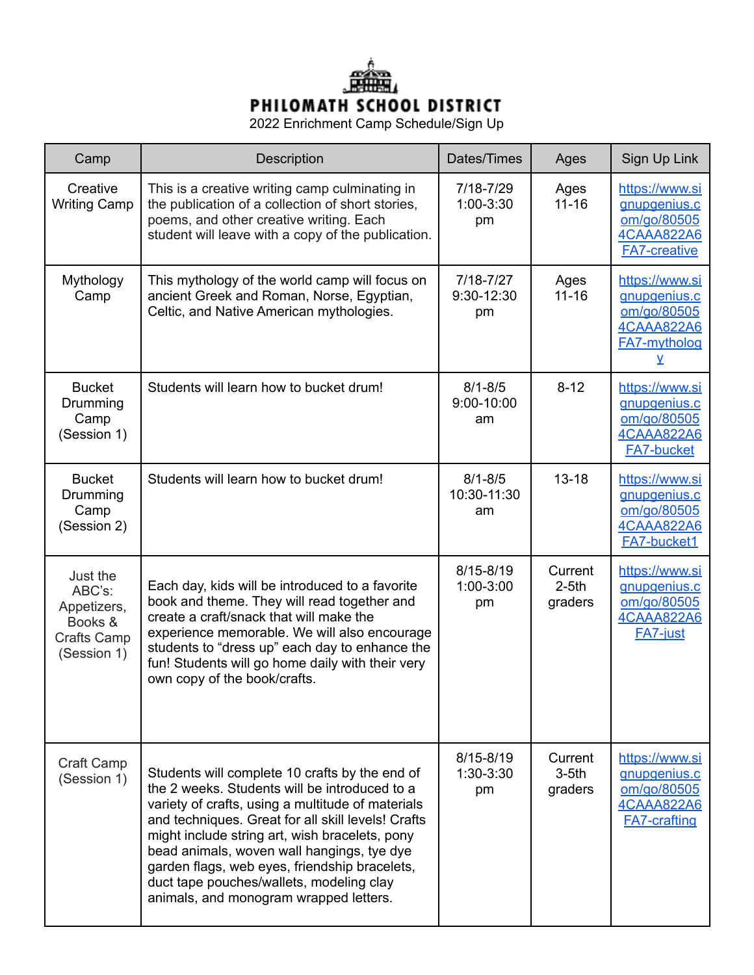

2022 Enrichment Camp Schedule/Sign Up

| Camp                                                                              | <b>Description</b>                                                                                                                                                                                                                                                                                                                                                                                                                                | Dates/Times                       | Ages                          | Sign Up Link                                                                              |
|-----------------------------------------------------------------------------------|---------------------------------------------------------------------------------------------------------------------------------------------------------------------------------------------------------------------------------------------------------------------------------------------------------------------------------------------------------------------------------------------------------------------------------------------------|-----------------------------------|-------------------------------|-------------------------------------------------------------------------------------------|
| Creative<br><b>Writing Camp</b>                                                   | This is a creative writing camp culminating in<br>the publication of a collection of short stories,<br>poems, and other creative writing. Each<br>student will leave with a copy of the publication.                                                                                                                                                                                                                                              | 7/18-7/29<br>1:00-3:30<br>pm      | Ages<br>$11 - 16$             | https://www.si<br>gnupgenius.c<br>om/go/80505<br>4CAAA822A6<br><b>FA7-creative</b>        |
| Mythology<br>Camp                                                                 | This mythology of the world camp will focus on<br>ancient Greek and Roman, Norse, Egyptian,<br>Celtic, and Native American mythologies.                                                                                                                                                                                                                                                                                                           | $7/18 - 7/27$<br>9:30-12:30<br>pm | Ages<br>$11 - 16$             | https://www.si<br>gnupgenius.c<br>om/go/80505<br>4CAAA822A6<br>FA7-mytholog<br>v          |
| <b>Bucket</b><br>Drumming<br>Camp<br>(Session 1)                                  | Students will learn how to bucket drum!                                                                                                                                                                                                                                                                                                                                                                                                           | $8/1 - 8/5$<br>9:00-10:00<br>am   | $8 - 12$                      | https://www.si<br>gnupgenius.c<br>om/go/80505<br>4CAAA822A6<br><b>FA7-bucket</b>          |
| <b>Bucket</b><br>Drumming<br>Camp<br>(Session 2)                                  | Students will learn how to bucket drum!                                                                                                                                                                                                                                                                                                                                                                                                           | $8/1 - 8/5$<br>10:30-11:30<br>am  | $13 - 18$                     | https://www.si<br>gnupgenius.c<br>om/go/80505<br>4CAAA822A6<br><b>FA7-bucket1</b>         |
| Just the<br>ABC's:<br>Appetizers,<br>Books &<br><b>Crafts Camp</b><br>(Session 1) | Each day, kids will be introduced to a favorite<br>book and theme. They will read together and<br>create a craft/snack that will make the<br>experience memorable. We will also encourage<br>students to "dress up" each day to enhance the<br>fun! Students will go home daily with their very<br>own copy of the book/crafts.                                                                                                                   | $8/15 - 8/19$<br>1:00-3:00<br>pm  | Current<br>$2-5th$<br>graders | https://www.si<br>gnupgenius.c<br>om/go/80505<br>4CAAA822A6<br><b>FA7-just</b>            |
| Craft Camp<br>(Session 1)                                                         | Students will complete 10 crafts by the end of<br>the 2 weeks. Students will be introduced to a<br>variety of crafts, using a multitude of materials<br>and techniques. Great for all skill levels! Crafts<br>might include string art, wish bracelets, pony<br>bead animals, woven wall hangings, tye dye<br>garden flags, web eyes, friendship bracelets,<br>duct tape pouches/wallets, modeling clay<br>animals, and monogram wrapped letters. | $8/15 - 8/19$<br>1:30-3:30<br>pm  | Current<br>$3-5th$<br>graders | https://www.si<br>gnupgenius.c<br>om/go/80505<br><b>4CAAA822A6</b><br><b>FA7-crafting</b> |